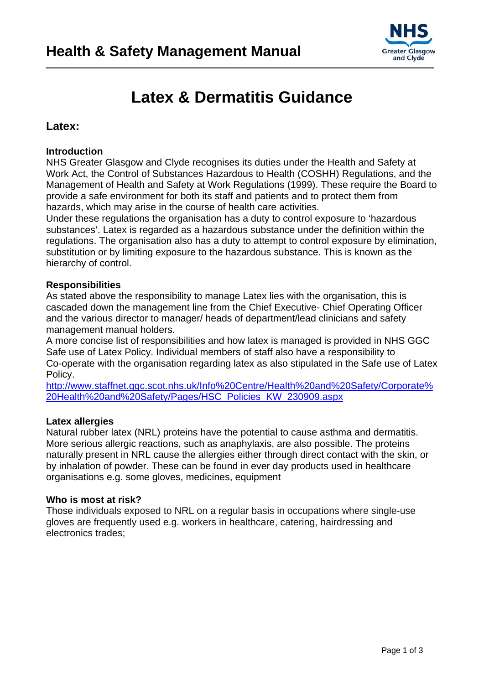

# **Latex & Dermatitis Guidance**

### **Latex:**

### **Introduction**

NHS Greater Glasgow and Clyde recognises its duties under the Health and Safety at Work Act, the Control of Substances Hazardous to Health (COSHH) Regulations, and the Management of Health and Safety at Work Regulations (1999). These require the Board to provide a safe environment for both its staff and patients and to protect them from hazards, which may arise in the course of health care activities.

Under these regulations the organisation has a duty to control exposure to 'hazardous substances'. Latex is regarded as a hazardous substance under the definition within the regulations. The organisation also has a duty to attempt to control exposure by elimination, substitution or by limiting exposure to the hazardous substance. This is known as the hierarchy of control.

### **Responsibilities**

As stated above the responsibility to manage Latex lies with the organisation, this is cascaded down the management line from the Chief Executive- Chief Operating Officer and the various director to manager/ heads of department/lead clinicians and safety management manual holders.

A more concise list of responsibilities and how latex is managed is provided in NHS GGC Safe use of Latex Policy. Individual members of staff also have a responsibility to Co-operate with the organisation regarding latex as also stipulated in the Safe use of Latex Policy.

[http://www.staffnet.ggc.scot.nhs.uk/Info%20Centre/Health%20and%20Safety/Corporate%](http://www.staffnet.ggc.scot.nhs.uk/Info%20Centre/Health%20and%20Safety/Corporate%20Health%20and%20Safety/Pages/HSC_Policies_KW_230909.aspx) [20Health%20and%20Safety/Pages/HSC\\_Policies\\_KW\\_230909.aspx](http://www.staffnet.ggc.scot.nhs.uk/Info%20Centre/Health%20and%20Safety/Corporate%20Health%20and%20Safety/Pages/HSC_Policies_KW_230909.aspx)

### **Latex allergies**

Natural rubber latex (NRL) proteins have the potential to cause asthma and dermatitis. More serious allergic reactions, such as anaphylaxis, are also possible. The proteins naturally present in NRL cause the allergies either through direct contact with the skin, or by inhalation of powder. These can be found in ever day products used in healthcare organisations e.g. some gloves, medicines, equipment

### **Who is most at risk?**

Those individuals exposed to NRL on a regular basis in occupations where single-use gloves are frequently used e.g. workers in healthcare, catering, hairdressing and electronics trades;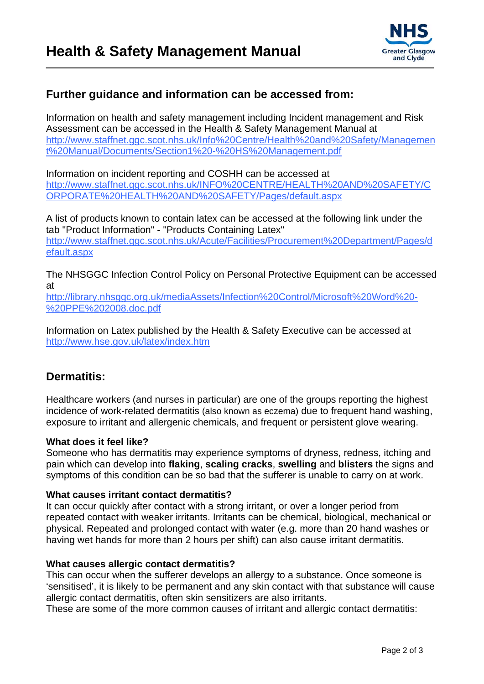

### **Further guidance and information can be accessed from:**

Information on health and safety management including Incident management and Risk Assessment can be accessed in the Health & Safety Management Manual at [http://www.staffnet.ggc.scot.nhs.uk/Info%20Centre/Health%20and%20Safety/Managemen](http://www.staffnet.ggc.scot.nhs.uk/Info%20Centre/Health%20and%20Safety/Management%20Manual/Documents/Section1%20-%20HS%20Management.pdf) [t%20Manual/Documents/Section1%20-%20HS%20Management.pdf](http://www.staffnet.ggc.scot.nhs.uk/Info%20Centre/Health%20and%20Safety/Management%20Manual/Documents/Section1%20-%20HS%20Management.pdf)

Information on incident reporting and COSHH can be accessed at [http://www.staffnet.ggc.scot.nhs.uk/INFO%20CENTRE/HEALTH%20AND%20SAFETY/C](http://www.staffnet.ggc.scot.nhs.uk/INFO%20CENTRE/HEALTH%20AND%20SAFETY/CORPORATE%20HEALTH%20AND%20SAFETY/Pages/default.aspx) [ORPORATE%20HEALTH%20AND%20SAFETY/Pages/default.aspx](http://www.staffnet.ggc.scot.nhs.uk/INFO%20CENTRE/HEALTH%20AND%20SAFETY/CORPORATE%20HEALTH%20AND%20SAFETY/Pages/default.aspx) 

A list of products known to contain latex can be accessed at the following link under the tab "Product Information" - "Products Containing Latex" [http://www.staffnet.ggc.scot.nhs.uk/Acute/Facilities/Procurement%20Department/Pages/d](http://www.staffnet.ggc.scot.nhs.uk/Acute/Facilities/Procurement%20Department/Pages/default.aspx) [efault.aspx](http://www.staffnet.ggc.scot.nhs.uk/Acute/Facilities/Procurement%20Department/Pages/default.aspx) 

The NHSGGC Infection Control Policy on Personal Protective Equipment can be accessed at

[http://library.nhsggc.org.uk/mediaAssets/Infection%20Control/Microsoft%20Word%20-](http://library.nhsggc.org.uk/mediaAssets/Infection%20Control/Microsoft%20Word%20-%20PPE%202008.doc.pdf) [%20PPE%202008.doc.pdf](http://library.nhsggc.org.uk/mediaAssets/Infection%20Control/Microsoft%20Word%20-%20PPE%202008.doc.pdf)

Information on Latex published by the Health & Safety Executive can be accessed at <http://www.hse.gov.uk/latex/index.htm>

### **Dermatitis:**

Healthcare workers (and nurses in particular) are one of the groups reporting the highest incidence of work-related dermatitis (also known as eczema) due to frequent hand washing, exposure to irritant and allergenic chemicals, and frequent or persistent glove wearing.

### **What does it feel like?**

Someone who has dermatitis may experience symptoms of dryness, redness, itching and pain which can develop into **flaking**, **scaling cracks**, **swelling** and **blisters** the signs and symptoms of this condition can be so bad that the sufferer is unable to carry on at work.

### **What causes irritant contact dermatitis?**

It can occur quickly after contact with a strong irritant, or over a longer period from repeated contact with weaker irritants. Irritants can be chemical, biological, mechanical or physical. Repeated and prolonged contact with water (e.g. more than 20 hand washes or having wet hands for more than 2 hours per shift) can also cause irritant dermatitis.

### **What causes allergic contact dermatitis?**

This can occur when the sufferer develops an allergy to a substance. Once someone is 'sensitised', it is likely to be permanent and any skin contact with that substance will cause allergic contact dermatitis, often skin sensitizers are also irritants.

These are some of the more common causes of irritant and allergic contact dermatitis: